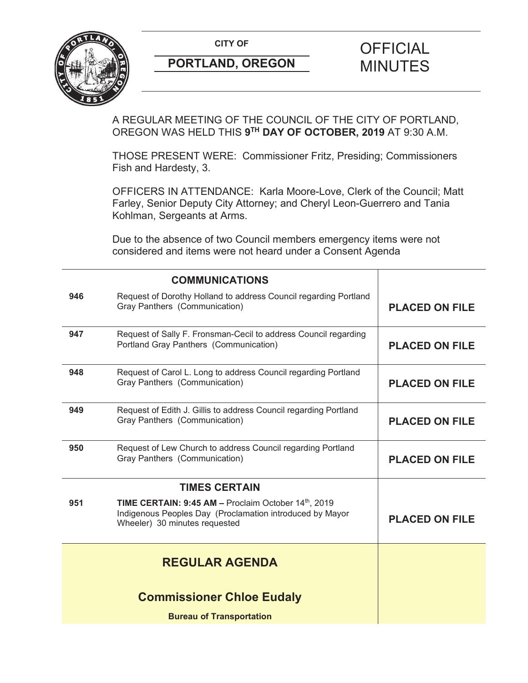

A REGULAR MEETING OF THE COUNCIL OF THE CITY OF PORTLAND, OREGON WAS HELD THIS **9TH DAY OF OCTOBER, 2019** AT 9:30 A.M.

THOSE PRESENT WERE: Commissioner Fritz, Presiding; Commissioners Fish and Hardesty, 3.

OFFICERS IN ATTENDANCE: Karla Moore-Love, Clerk of the Council; Matt Farley, Senior Deputy City Attorney; and Cheryl Leon-Guerrero and Tania Kohlman, Sergeants at Arms.

Due to the absence of two Council members emergency items were not considered and items were not heard under a Consent Agenda

|                       | <b>COMMUNICATIONS</b>                                                                                                                                   |                       |
|-----------------------|---------------------------------------------------------------------------------------------------------------------------------------------------------|-----------------------|
| 946                   | Request of Dorothy Holland to address Council regarding Portland<br>Gray Panthers (Communication)                                                       | <b>PLACED ON FILE</b> |
| 947                   | Request of Sally F. Fronsman-Cecil to address Council regarding<br>Portland Gray Panthers (Communication)                                               | <b>PLACED ON FILE</b> |
| 948                   | Request of Carol L. Long to address Council regarding Portland<br>Gray Panthers (Communication)                                                         | <b>PLACED ON FILE</b> |
| 949                   | Request of Edith J. Gillis to address Council regarding Portland<br>Gray Panthers (Communication)                                                       | <b>PLACED ON FILE</b> |
| 950                   | Request of Lew Church to address Council regarding Portland<br>Gray Panthers (Communication)                                                            | <b>PLACED ON FILE</b> |
| <b>TIMES CERTAIN</b>  |                                                                                                                                                         |                       |
| 951                   | <b>TIME CERTAIN: 9:45 AM - Proclaim October 14th, 2019</b><br>Indigenous Peoples Day (Proclamation introduced by Mayor<br>Wheeler) 30 minutes requested | <b>PLACED ON FILE</b> |
| <b>REGULAR AGENDA</b> |                                                                                                                                                         |                       |
|                       | <b>Commissioner Chloe Eudaly</b>                                                                                                                        |                       |
|                       | <b>Bureau of Transportation</b>                                                                                                                         |                       |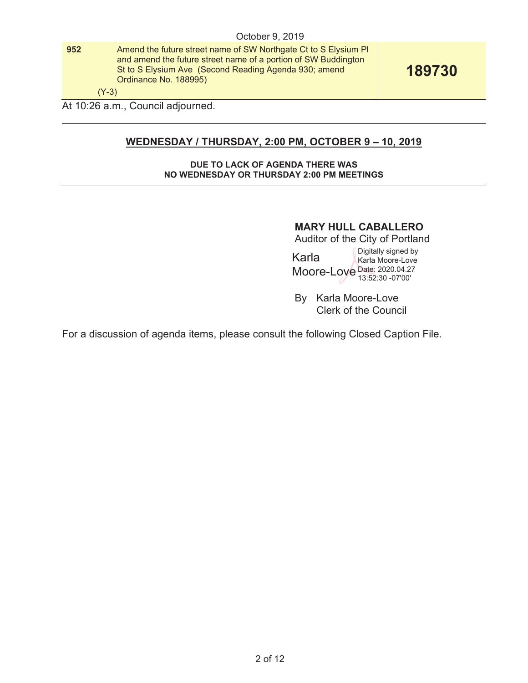**952** Amend the future street name of SW Northgate Ct to S Elysium Pl and amend the future street name of a portion of SW Buddington St to S Elysium Ave (Second Reading Agenda 930; amend Ordinance No. 188995)

**189730** 

(Y-3)

At 10:26 a.m., Council adjourned.

# **WEDNESDAY / THURSDAY, 2:00 PM, OCTOBER 9 – 10, 2019**

#### **DUE TO LACK OF AGENDA THERE WAS NO WEDNESDAY OR THURSDAY 2:00 PM MEETINGS**

## **MARY HULL CABALLERO**

Auditor of the City of Portland Karla Moore-Loye Date: 2020.04.27 Digitally signed by Karla Moore-Love

13:52:30 -07'00'

By Karla Moore-Love Clerk of the Council

For a discussion of agenda items, please consult the following Closed Caption File.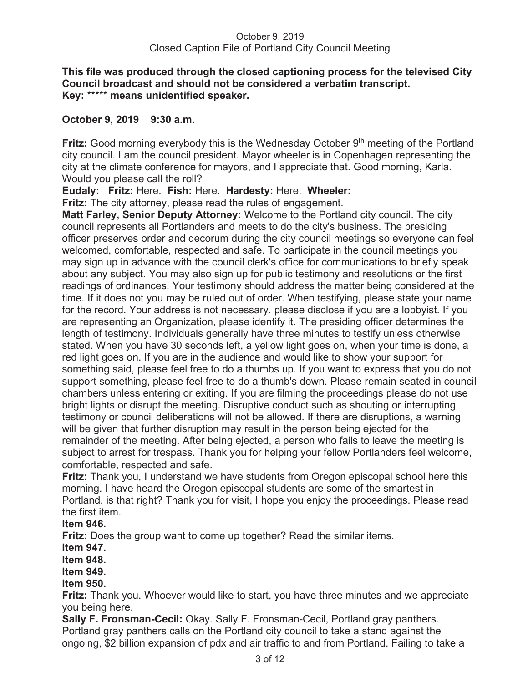### **This file was produced through the closed captioning process for the televised City Council broadcast and should not be considered a verbatim transcript. Key:** \*\*\*\*\* **means unidentified speaker.**

## **October 9, 2019 9:30 a.m.**

**Fritz:** Good morning everybody this is the Wednesday October 9<sup>th</sup> meeting of the Portland city council. I am the council president. Mayor wheeler is in Copenhagen representing the city at the climate conference for mayors, and I appreciate that. Good morning, Karla. Would you please call the roll?

## **Eudaly: Fritz:** Here. **Fish:** Here. **Hardesty:** Here. **Wheeler:**

**Fritz:** The city attorney, please read the rules of engagement.

**Matt Farley, Senior Deputy Attorney:** Welcome to the Portland city council. The city council represents all Portlanders and meets to do the city's business. The presiding officer preserves order and decorum during the city council meetings so everyone can feel welcomed, comfortable, respected and safe. To participate in the council meetings you may sign up in advance with the council clerk's office for communications to briefly speak about any subject. You may also sign up for public testimony and resolutions or the first readings of ordinances. Your testimony should address the matter being considered at the time. If it does not you may be ruled out of order. When testifying, please state your name for the record. Your address is not necessary. please disclose if you are a lobbyist. If you are representing an Organization, please identify it. The presiding officer determines the length of testimony. Individuals generally have three minutes to testify unless otherwise stated. When you have 30 seconds left, a yellow light goes on, when your time is done, a red light goes on. If you are in the audience and would like to show your support for something said, please feel free to do a thumbs up. If you want to express that you do not support something, please feel free to do a thumb's down. Please remain seated in council chambers unless entering or exiting. If you are filming the proceedings please do not use bright lights or disrupt the meeting. Disruptive conduct such as shouting or interrupting testimony or council deliberations will not be allowed. If there are disruptions, a warning will be given that further disruption may result in the person being ejected for the remainder of the meeting. After being ejected, a person who fails to leave the meeting is subject to arrest for trespass. Thank you for helping your fellow Portlanders feel welcome, comfortable, respected and safe.

**Fritz:** Thank you, I understand we have students from Oregon episcopal school here this morning. I have heard the Oregon episcopal students are some of the smartest in Portland, is that right? Thank you for visit, I hope you enjoy the proceedings. Please read the first item.

### **Item 946.**

**Fritz:** Does the group want to come up together? Read the similar items.

**Item 947.** 

**Item 948.** 

**Item 949.** 

## **Item 950.**

**Fritz:** Thank you. Whoever would like to start, you have three minutes and we appreciate you being here.

**Sally F. Fronsman-Cecil:** Okay. Sally F. Fronsman-Cecil, Portland gray panthers. Portland gray panthers calls on the Portland city council to take a stand against the ongoing, \$2 billion expansion of pdx and air traffic to and from Portland. Failing to take a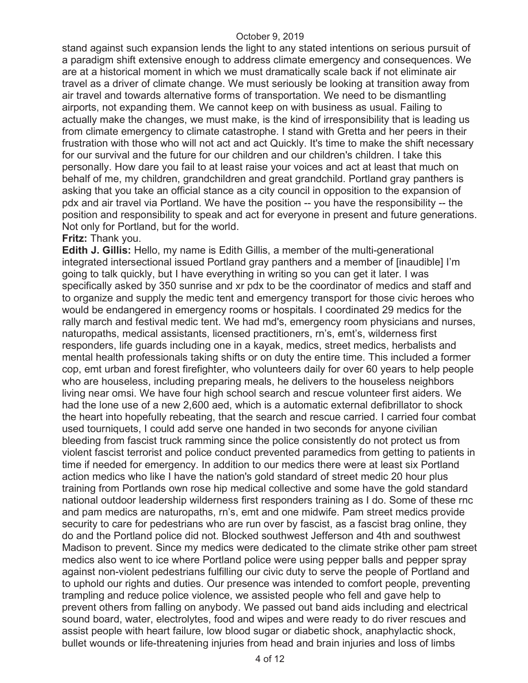stand against such expansion lends the light to any stated intentions on serious pursuit of a paradigm shift extensive enough to address climate emergency and consequences. We are at a historical moment in which we must dramatically scale back if not eliminate air travel as a driver of climate change. We must seriously be looking at transition away from air travel and towards alternative forms of transportation. We need to be dismantling airports, not expanding them. We cannot keep on with business as usual. Failing to actually make the changes, we must make, is the kind of irresponsibility that is leading us from climate emergency to climate catastrophe. I stand with Gretta and her peers in their frustration with those who will not act and act Quickly. It's time to make the shift necessary for our survival and the future for our children and our children's children. I take this personally. How dare you fail to at least raise your voices and act at least that much on behalf of me, my children, grandchildren and great grandchild. Portland gray panthers is asking that you take an official stance as a city council in opposition to the expansion of pdx and air travel via Portland. We have the position -- you have the responsibility -- the position and responsibility to speak and act for everyone in present and future generations. Not only for Portland, but for the world.

### **Fritz:** Thank you.

**Edith J. Gillis:** Hello, my name is Edith Gillis, a member of the multi-generational integrated intersectional issued Portland gray panthers and a member of [inaudible] I'm going to talk quickly, but I have everything in writing so you can get it later. I was specifically asked by 350 sunrise and xr pdx to be the coordinator of medics and staff and to organize and supply the medic tent and emergency transport for those civic heroes who would be endangered in emergency rooms or hospitals. I coordinated 29 medics for the rally march and festival medic tent. We had md's, emergency room physicians and nurses, naturopaths, medical assistants, licensed practitioners, rn's, emt's, wilderness first responders, life guards including one in a kayak, medics, street medics, herbalists and mental health professionals taking shifts or on duty the entire time. This included a former cop, emt urban and forest firefighter, who volunteers daily for over 60 years to help people who are houseless, including preparing meals, he delivers to the houseless neighbors living near omsi. We have four high school search and rescue volunteer first aiders. We had the lone use of a new 2,600 aed, which is a automatic external defibrillator to shock the heart into hopefully rebeating, that the search and rescue carried. I carried four combat used tourniquets, I could add serve one handed in two seconds for anyone civilian bleeding from fascist truck ramming since the police consistently do not protect us from violent fascist terrorist and police conduct prevented paramedics from getting to patients in time if needed for emergency. In addition to our medics there were at least six Portland action medics who like I have the nation's gold standard of street medic 20 hour plus training from Portlands own rose hip medical collective and some have the gold standard national outdoor leadership wilderness first responders training as I do. Some of these rnc and pam medics are naturopaths, rn's, emt and one midwife. Pam street medics provide security to care for pedestrians who are run over by fascist, as a fascist brag online, they do and the Portland police did not. Blocked southwest Jefferson and 4th and southwest Madison to prevent. Since my medics were dedicated to the climate strike other pam street medics also went to ice where Portland police were using pepper balls and pepper spray against non-violent pedestrians fulfilling our civic duty to serve the people of Portland and to uphold our rights and duties. Our presence was intended to comfort people, preventing trampling and reduce police violence, we assisted people who fell and gave help to prevent others from falling on anybody. We passed out band aids including and electrical sound board, water, electrolytes, food and wipes and were ready to do river rescues and assist people with heart failure, low blood sugar or diabetic shock, anaphylactic shock, bullet wounds or life-threatening injuries from head and brain injuries and loss of limbs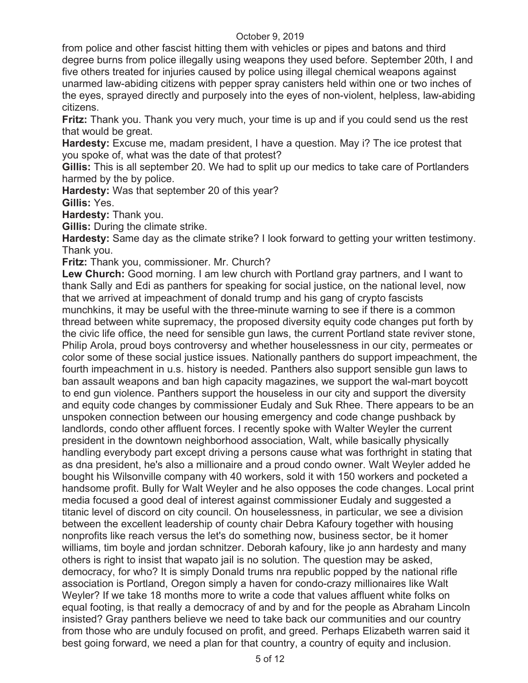from police and other fascist hitting them with vehicles or pipes and batons and third degree burns from police illegally using weapons they used before. September 20th, I and five others treated for injuries caused by police using illegal chemical weapons against unarmed law-abiding citizens with pepper spray canisters held within one or two inches of the eyes, sprayed directly and purposely into the eyes of non-violent, helpless, law-abiding citizens.

**Fritz:** Thank you. Thank you very much, your time is up and if you could send us the rest that would be great.

**Hardesty:** Excuse me, madam president, I have a question. May i? The ice protest that you spoke of, what was the date of that protest?

**Gillis:** This is all september 20. We had to split up our medics to take care of Portlanders harmed by the by police.

**Hardesty:** Was that september 20 of this year?

**Gillis:** Yes.

**Hardesty:** Thank you.

**Gillis:** During the climate strike.

**Hardesty:** Same day as the climate strike? I look forward to getting your written testimony. Thank you.

**Fritz:** Thank you, commissioner. Mr. Church?

**Lew Church:** Good morning. I am lew church with Portland gray partners, and I want to thank Sally and Edi as panthers for speaking for social justice, on the national level, now that we arrived at impeachment of donald trump and his gang of crypto fascists munchkins, it may be useful with the three-minute warning to see if there is a common thread between white supremacy, the proposed diversity equity code changes put forth by the civic life office, the need for sensible gun laws, the current Portland state reviver stone, Philip Arola, proud boys controversy and whether houselessness in our city, permeates or color some of these social justice issues. Nationally panthers do support impeachment, the fourth impeachment in u.s. history is needed. Panthers also support sensible gun laws to ban assault weapons and ban high capacity magazines, we support the wal-mart boycott to end gun violence. Panthers support the houseless in our city and support the diversity and equity code changes by commissioner Eudaly and Suk Rhee. There appears to be an unspoken connection between our housing emergency and code change pushback by landlords, condo other affluent forces. I recently spoke with Walter Weyler the current president in the downtown neighborhood association, Walt, while basically physically handling everybody part except driving a persons cause what was forthright in stating that as dna president, he's also a millionaire and a proud condo owner. Walt Weyler added he bought his Wilsonville company with 40 workers, sold it with 150 workers and pocketed a handsome profit. Bully for Walt Weyler and he also opposes the code changes. Local print media focused a good deal of interest against commissioner Eudaly and suggested a titanic level of discord on city council. On houselessness, in particular, we see a division between the excellent leadership of county chair Debra Kafoury together with housing nonprofits like reach versus the let's do something now, business sector, be it homer williams, tim boyle and jordan schnitzer. Deborah kafoury, like jo ann hardesty and many others is right to insist that wapato jail is no solution. The question may be asked, democracy, for who? It is simply Donald trums nra republic popped by the national rifle association is Portland, Oregon simply a haven for condo-crazy millionaires like Walt Weyler? If we take 18 months more to write a code that values affluent white folks on equal footing, is that really a democracy of and by and for the people as Abraham Lincoln insisted? Gray panthers believe we need to take back our communities and our country from those who are unduly focused on profit, and greed. Perhaps Elizabeth warren said it best going forward, we need a plan for that country, a country of equity and inclusion.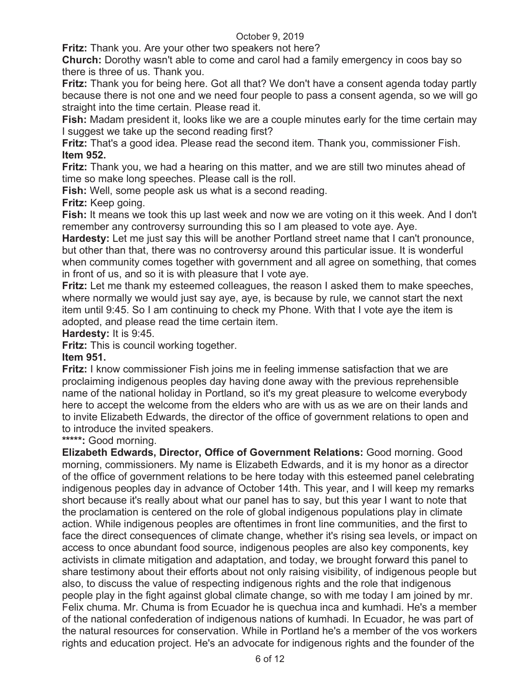**Fritz:** Thank you. Are your other two speakers not here?

**Church:** Dorothy wasn't able to come and carol had a family emergency in coos bay so there is three of us. Thank you.

**Fritz:** Thank you for being here. Got all that? We don't have a consent agenda today partly because there is not one and we need four people to pass a consent agenda, so we will go straight into the time certain. Please read it.

**Fish:** Madam president it, looks like we are a couple minutes early for the time certain may I suggest we take up the second reading first?

**Fritz:** That's a good idea. Please read the second item. Thank you, commissioner Fish. **Item 952.** 

**Fritz:** Thank you, we had a hearing on this matter, and we are still two minutes ahead of time so make long speeches. Please call is the roll.

**Fish:** Well, some people ask us what is a second reading.

**Fritz:** Keep going.

**Fish:** It means we took this up last week and now we are voting on it this week. And I don't remember any controversy surrounding this so I am pleased to vote aye. Aye.

**Hardesty:** Let me just say this will be another Portland street name that I can't pronounce, but other than that, there was no controversy around this particular issue. It is wonderful when community comes together with government and all agree on something, that comes in front of us, and so it is with pleasure that I vote aye.

**Fritz:** Let me thank my esteemed colleagues, the reason I asked them to make speeches, where normally we would just say aye, aye, is because by rule, we cannot start the next item until 9:45. So I am continuing to check my Phone. With that I vote aye the item is adopted, and please read the time certain item.

**Hardesty:** It is 9:45.

**Fritz:** This is council working together.

**Item 951.**

**Fritz:** I know commissioner Fish joins me in feeling immense satisfaction that we are proclaiming indigenous peoples day having done away with the previous reprehensible name of the national holiday in Portland, so it's my great pleasure to welcome everybody here to accept the welcome from the elders who are with us as we are on their lands and to invite Elizabeth Edwards, the director of the office of government relations to open and to introduce the invited speakers.

**\*\*\*\*\*:** Good morning.

**Elizabeth Edwards, Director, Office of Government Relations:** Good morning. Good morning, commissioners. My name is Elizabeth Edwards, and it is my honor as a director of the office of government relations to be here today with this esteemed panel celebrating indigenous peoples day in advance of October 14th. This year, and I will keep my remarks short because it's really about what our panel has to say, but this year I want to note that the proclamation is centered on the role of global indigenous populations play in climate action. While indigenous peoples are oftentimes in front line communities, and the first to face the direct consequences of climate change, whether it's rising sea levels, or impact on access to once abundant food source, indigenous peoples are also key components, key activists in climate mitigation and adaptation, and today, we brought forward this panel to share testimony about their efforts about not only raising visibility, of indigenous people but also, to discuss the value of respecting indigenous rights and the role that indigenous people play in the fight against global climate change, so with me today I am joined by mr. Felix chuma. Mr. Chuma is from Ecuador he is quechua inca and kumhadi. He's a member of the national confederation of indigenous nations of kumhadi. In Ecuador, he was part of the natural resources for conservation. While in Portland he's a member of the vos workers rights and education project. He's an advocate for indigenous rights and the founder of the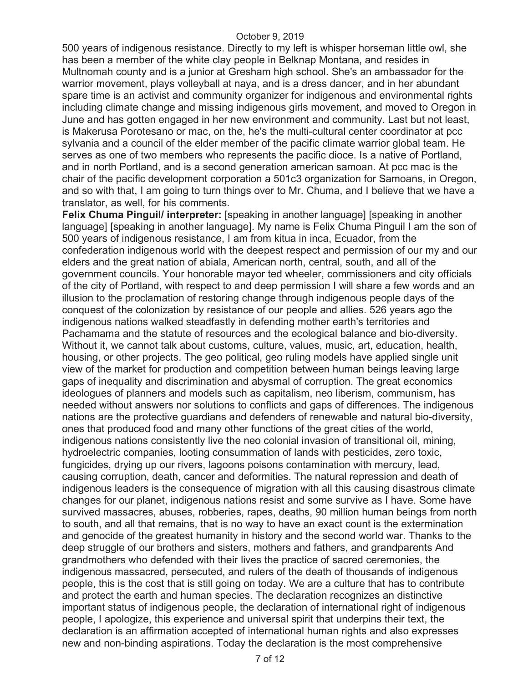500 years of indigenous resistance. Directly to my left is whisper horseman little owl, she has been a member of the white clay people in Belknap Montana, and resides in Multnomah county and is a junior at Gresham high school. She's an ambassador for the warrior movement, plays volleyball at naya, and is a dress dancer, and in her abundant spare time is an activist and community organizer for indigenous and environmental rights including climate change and missing indigenous girls movement, and moved to Oregon in June and has gotten engaged in her new environment and community. Last but not least, is Makerusa Porotesano or mac, on the, he's the multi-cultural center coordinator at pcc sylvania and a council of the elder member of the pacific climate warrior global team. He serves as one of two members who represents the pacific dioce. Is a native of Portland, and in north Portland, and is a second generation american samoan. At pcc mac is the chair of the pacific development corporation a 501c3 organization for Samoans, in Oregon, and so with that, I am going to turn things over to Mr. Chuma, and I believe that we have a translator, as well, for his comments.

**Felix Chuma Pinguil/ interpreter:** [speaking in another language] [speaking in another language] [speaking in another language]. My name is Felix Chuma Pinguil I am the son of 500 years of indigenous resistance, I am from kitua in inca, Ecuador, from the confederation indigenous world with the deepest respect and permission of our my and our elders and the great nation of abiala, American north, central, south, and all of the government councils. Your honorable mayor ted wheeler, commissioners and city officials of the city of Portland, with respect to and deep permission I will share a few words and an illusion to the proclamation of restoring change through indigenous people days of the conquest of the colonization by resistance of our people and allies. 526 years ago the indigenous nations walked steadfastly in defending mother earth's territories and Pachamama and the statute of resources and the ecological balance and bio-diversity. Without it, we cannot talk about customs, culture, values, music, art, education, health, housing, or other projects. The geo political, geo ruling models have applied single unit view of the market for production and competition between human beings leaving large gaps of inequality and discrimination and abysmal of corruption. The great economics ideologues of planners and models such as capitalism, neo liberism, communism, has needed without answers nor solutions to conflicts and gaps of differences. The indigenous nations are the protective guardians and defenders of renewable and natural bio-diversity, ones that produced food and many other functions of the great cities of the world, indigenous nations consistently live the neo colonial invasion of transitional oil, mining, hydroelectric companies, looting consummation of lands with pesticides, zero toxic, fungicides, drying up our rivers, lagoons poisons contamination with mercury, lead, causing corruption, death, cancer and deformities. The natural repression and death of indigenous leaders is the consequence of migration with all this causing disastrous climate changes for our planet, indigenous nations resist and some survive as I have. Some have survived massacres, abuses, robberies, rapes, deaths, 90 million human beings from north to south, and all that remains, that is no way to have an exact count is the extermination and genocide of the greatest humanity in history and the second world war. Thanks to the deep struggle of our brothers and sisters, mothers and fathers, and grandparents And grandmothers who defended with their lives the practice of sacred ceremonies, the indigenous massacred, persecuted, and rulers of the death of thousands of indigenous people, this is the cost that is still going on today. We are a culture that has to contribute and protect the earth and human species. The declaration recognizes an distinctive important status of indigenous people, the declaration of international right of indigenous people, I apologize, this experience and universal spirit that underpins their text, the declaration is an affirmation accepted of international human rights and also expresses new and non-binding aspirations. Today the declaration is the most comprehensive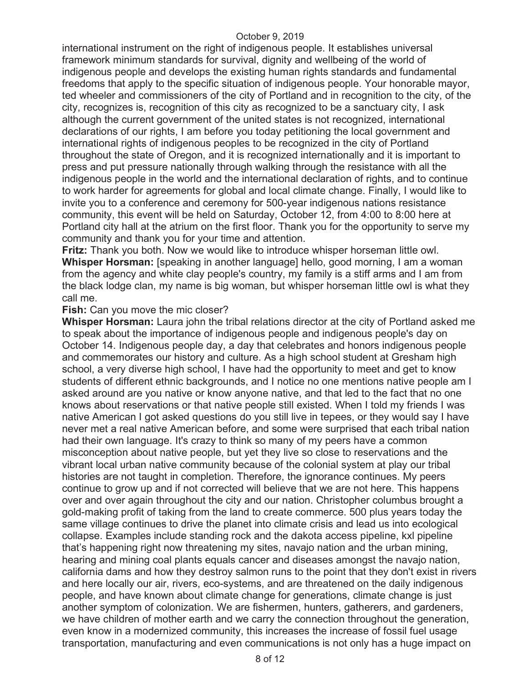international instrument on the right of indigenous people. It establishes universal framework minimum standards for survival, dignity and wellbeing of the world of indigenous people and develops the existing human rights standards and fundamental freedoms that apply to the specific situation of indigenous people. Your honorable mayor, ted wheeler and commissioners of the city of Portland and in recognition to the city, of the city, recognizes is, recognition of this city as recognized to be a sanctuary city, I ask although the current government of the united states is not recognized, international declarations of our rights, I am before you today petitioning the local government and international rights of indigenous peoples to be recognized in the city of Portland throughout the state of Oregon, and it is recognized internationally and it is important to press and put pressure nationally through walking through the resistance with all the indigenous people in the world and the international declaration of rights, and to continue to work harder for agreements for global and local climate change. Finally, I would like to invite you to a conference and ceremony for 500-year indigenous nations resistance community, this event will be held on Saturday, October 12, from 4:00 to 8:00 here at Portland city hall at the atrium on the first floor. Thank you for the opportunity to serve my community and thank you for your time and attention.

**Fritz:** Thank you both. Now we would like to introduce whisper horseman little owl. **Whisper Horsman:** [speaking in another language] hello, good morning, I am a woman from the agency and white clay people's country, my family is a stiff arms and I am from the black lodge clan, my name is big woman, but whisper horseman little owl is what they call me.

### **Fish:** Can you move the mic closer?

**Whisper Horsman:** Laura john the tribal relations director at the city of Portland asked me to speak about the importance of indigenous people and indigenous people's day on October 14. Indigenous people day, a day that celebrates and honors indigenous people and commemorates our history and culture. As a high school student at Gresham high school, a very diverse high school, I have had the opportunity to meet and get to know students of different ethnic backgrounds, and I notice no one mentions native people am I asked around are you native or know anyone native, and that led to the fact that no one knows about reservations or that native people still existed. When I told my friends I was native American I got asked questions do you still live in tepees, or they would say I have never met a real native American before, and some were surprised that each tribal nation had their own language. It's crazy to think so many of my peers have a common misconception about native people, but yet they live so close to reservations and the vibrant local urban native community because of the colonial system at play our tribal histories are not taught in completion. Therefore, the ignorance continues. My peers continue to grow up and if not corrected will believe that we are not here. This happens over and over again throughout the city and our nation. Christopher columbus brought a gold-making profit of taking from the land to create commerce. 500 plus years today the same village continues to drive the planet into climate crisis and lead us into ecological collapse. Examples include standing rock and the dakota access pipeline, kxl pipeline that's happening right now threatening my sites, navajo nation and the urban mining, hearing and mining coal plants equals cancer and diseases amongst the navajo nation, california dams and how they destroy salmon runs to the point that they don't exist in rivers and here locally our air, rivers, eco-systems, and are threatened on the daily indigenous people, and have known about climate change for generations, climate change is just another symptom of colonization. We are fishermen, hunters, gatherers, and gardeners, we have children of mother earth and we carry the connection throughout the generation, even know in a modernized community, this increases the increase of fossil fuel usage transportation, manufacturing and even communications is not only has a huge impact on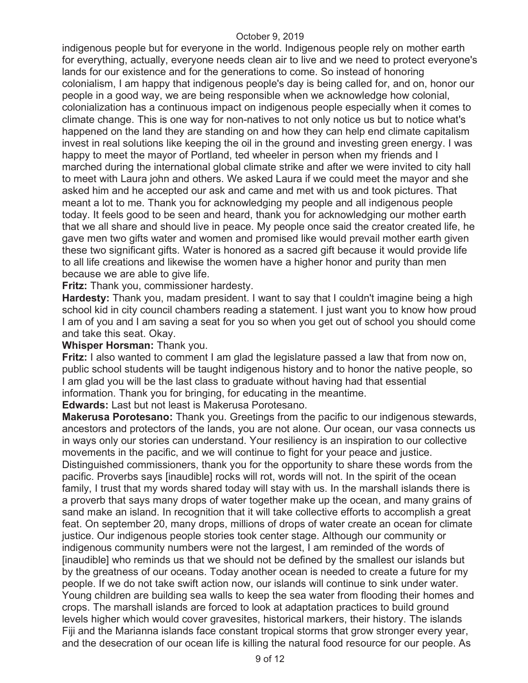indigenous people but for everyone in the world. Indigenous people rely on mother earth for everything, actually, everyone needs clean air to live and we need to protect everyone's lands for our existence and for the generations to come. So instead of honoring colonialism, I am happy that indigenous people's day is being called for, and on, honor our people in a good way, we are being responsible when we acknowledge how colonial, colonialization has a continuous impact on indigenous people especially when it comes to climate change. This is one way for non-natives to not only notice us but to notice what's happened on the land they are standing on and how they can help end climate capitalism invest in real solutions like keeping the oil in the ground and investing green energy. I was happy to meet the mayor of Portland, ted wheeler in person when my friends and I marched during the international global climate strike and after we were invited to city hall to meet with Laura john and others. We asked Laura if we could meet the mayor and she asked him and he accepted our ask and came and met with us and took pictures. That meant a lot to me. Thank you for acknowledging my people and all indigenous people today. It feels good to be seen and heard, thank you for acknowledging our mother earth that we all share and should live in peace. My people once said the creator created life, he gave men two gifts water and women and promised like would prevail mother earth given these two significant gifts. Water is honored as a sacred gift because it would provide life to all life creations and likewise the women have a higher honor and purity than men because we are able to give life.

**Fritz:** Thank you, commissioner hardesty.

**Hardesty:** Thank you, madam president. I want to say that I couldn't imagine being a high school kid in city council chambers reading a statement. I just want you to know how proud I am of you and I am saving a seat for you so when you get out of school you should come and take this seat. Okay.

## **Whisper Horsman:** Thank you.

**Fritz:** I also wanted to comment I am glad the legislature passed a law that from now on, public school students will be taught indigenous history and to honor the native people, so I am glad you will be the last class to graduate without having had that essential information. Thank you for bringing, for educating in the meantime.

**Edwards:** Last but not least is Makerusa Porotesano.

**Makerusa Porotesano:** Thank you. Greetings from the pacific to our indigenous stewards, ancestors and protectors of the lands, you are not alone. Our ocean, our vasa connects us in ways only our stories can understand. Your resiliency is an inspiration to our collective movements in the pacific, and we will continue to fight for your peace and justice. Distinguished commissioners, thank you for the opportunity to share these words from the pacific. Proverbs says [inaudible] rocks will rot, words will not. In the spirit of the ocean family, I trust that my words shared today will stay with us. In the marshall islands there is a proverb that says many drops of water together make up the ocean, and many grains of sand make an island. In recognition that it will take collective efforts to accomplish a great feat. On september 20, many drops, millions of drops of water create an ocean for climate justice. Our indigenous people stories took center stage. Although our community or indigenous community numbers were not the largest, I am reminded of the words of [inaudible] who reminds us that we should not be defined by the smallest our islands but by the greatness of our oceans. Today another ocean is needed to create a future for my people. If we do not take swift action now, our islands will continue to sink under water. Young children are building sea walls to keep the sea water from flooding their homes and crops. The marshall islands are forced to look at adaptation practices to build ground levels higher which would cover gravesites, historical markers, their history. The islands Fiji and the Marianna islands face constant tropical storms that grow stronger every year, and the desecration of our ocean life is killing the natural food resource for our people. As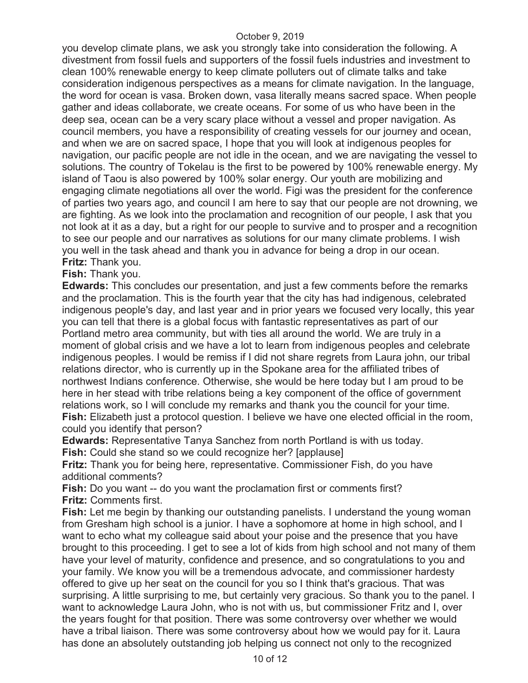you develop climate plans, we ask you strongly take into consideration the following. A divestment from fossil fuels and supporters of the fossil fuels industries and investment to clean 100% renewable energy to keep climate polluters out of climate talks and take consideration indigenous perspectives as a means for climate navigation. In the language, the word for ocean is vasa. Broken down, vasa literally means sacred space. When people gather and ideas collaborate, we create oceans. For some of us who have been in the deep sea, ocean can be a very scary place without a vessel and proper navigation. As council members, you have a responsibility of creating vessels for our journey and ocean, and when we are on sacred space, I hope that you will look at indigenous peoples for navigation, our pacific people are not idle in the ocean, and we are navigating the vessel to solutions. The country of Tokelau is the first to be powered by 100% renewable energy. My island of Taou is also powered by 100% solar energy. Our youth are mobilizing and engaging climate negotiations all over the world. Figi was the president for the conference of parties two years ago, and council I am here to say that our people are not drowning, we are fighting. As we look into the proclamation and recognition of our people, I ask that you not look at it as a day, but a right for our people to survive and to prosper and a recognition to see our people and our narratives as solutions for our many climate problems. I wish you well in the task ahead and thank you in advance for being a drop in our ocean. **Fritz:** Thank you.

**Fish:** Thank you.

**Edwards:** This concludes our presentation, and just a few comments before the remarks and the proclamation. This is the fourth year that the city has had indigenous, celebrated indigenous people's day, and last year and in prior years we focused very locally, this year you can tell that there is a global focus with fantastic representatives as part of our Portland metro area community, but with ties all around the world. We are truly in a moment of global crisis and we have a lot to learn from indigenous peoples and celebrate indigenous peoples. I would be remiss if I did not share regrets from Laura john, our tribal relations director, who is currently up in the Spokane area for the affiliated tribes of northwest Indians conference. Otherwise, she would be here today but I am proud to be here in her stead with tribe relations being a key component of the office of government relations work, so I will conclude my remarks and thank you the council for your time. **Fish:** Elizabeth just a protocol question. I believe we have one elected official in the room, could you identify that person?

**Edwards:** Representative Tanya Sanchez from north Portland is with us today. **Fish:** Could she stand so we could recognize her? [applause]

**Fritz:** Thank you for being here, representative. Commissioner Fish, do you have additional comments?

**Fish:** Do you want -- do you want the proclamation first or comments first? **Fritz:** Comments first.

**Fish:** Let me begin by thanking our outstanding panelists. I understand the young woman from Gresham high school is a junior. I have a sophomore at home in high school, and I want to echo what my colleague said about your poise and the presence that you have brought to this proceeding. I get to see a lot of kids from high school and not many of them have your level of maturity, confidence and presence, and so congratulations to you and your family. We know you will be a tremendous advocate, and commissioner hardesty offered to give up her seat on the council for you so I think that's gracious. That was surprising. A little surprising to me, but certainly very gracious. So thank you to the panel. I want to acknowledge Laura John, who is not with us, but commissioner Fritz and I, over the years fought for that position. There was some controversy over whether we would have a tribal liaison. There was some controversy about how we would pay for it. Laura has done an absolutely outstanding job helping us connect not only to the recognized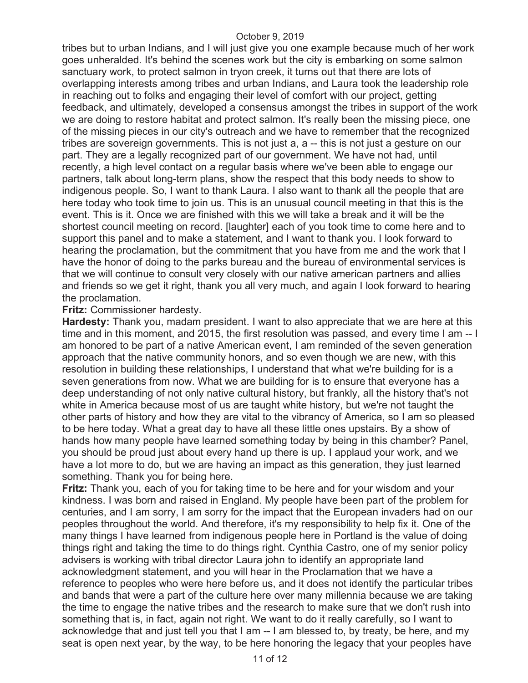tribes but to urban Indians, and I will just give you one example because much of her work goes unheralded. It's behind the scenes work but the city is embarking on some salmon sanctuary work, to protect salmon in tryon creek, it turns out that there are lots of overlapping interests among tribes and urban Indians, and Laura took the leadership role in reaching out to folks and engaging their level of comfort with our project, getting feedback, and ultimately, developed a consensus amongst the tribes in support of the work we are doing to restore habitat and protect salmon. It's really been the missing piece, one of the missing pieces in our city's outreach and we have to remember that the recognized tribes are sovereign governments. This is not just a, a -- this is not just a gesture on our part. They are a legally recognized part of our government. We have not had, until recently, a high level contact on a regular basis where we've been able to engage our partners, talk about long-term plans, show the respect that this body needs to show to indigenous people. So, I want to thank Laura. I also want to thank all the people that are here today who took time to join us. This is an unusual council meeting in that this is the event. This is it. Once we are finished with this we will take a break and it will be the shortest council meeting on record. [laughter] each of you took time to come here and to support this panel and to make a statement, and I want to thank you. I look forward to hearing the proclamation, but the commitment that you have from me and the work that I have the honor of doing to the parks bureau and the bureau of environmental services is that we will continue to consult very closely with our native american partners and allies and friends so we get it right, thank you all very much, and again I look forward to hearing the proclamation.

#### **Fritz:** Commissioner hardesty.

**Hardesty:** Thank you, madam president. I want to also appreciate that we are here at this time and in this moment, and 2015, the first resolution was passed, and every time I am -- I am honored to be part of a native American event, I am reminded of the seven generation approach that the native community honors, and so even though we are new, with this resolution in building these relationships, I understand that what we're building for is a seven generations from now. What we are building for is to ensure that everyone has a deep understanding of not only native cultural history, but frankly, all the history that's not white in America because most of us are taught white history, but we're not taught the other parts of history and how they are vital to the vibrancy of America, so I am so pleased to be here today. What a great day to have all these little ones upstairs. By a show of hands how many people have learned something today by being in this chamber? Panel, you should be proud just about every hand up there is up. I applaud your work, and we have a lot more to do, but we are having an impact as this generation, they just learned something. Thank you for being here.

**Fritz:** Thank you, each of you for taking time to be here and for your wisdom and your kindness. I was born and raised in England. My people have been part of the problem for centuries, and I am sorry, I am sorry for the impact that the European invaders had on our peoples throughout the world. And therefore, it's my responsibility to help fix it. One of the many things I have learned from indigenous people here in Portland is the value of doing things right and taking the time to do things right. Cynthia Castro, one of my senior policy advisers is working with tribal director Laura john to identify an appropriate land acknowledgment statement, and you will hear in the Proclamation that we have a reference to peoples who were here before us, and it does not identify the particular tribes and bands that were a part of the culture here over many millennia because we are taking the time to engage the native tribes and the research to make sure that we don't rush into something that is, in fact, again not right. We want to do it really carefully, so I want to acknowledge that and just tell you that I am -- I am blessed to, by treaty, be here, and my seat is open next year, by the way, to be here honoring the legacy that your peoples have